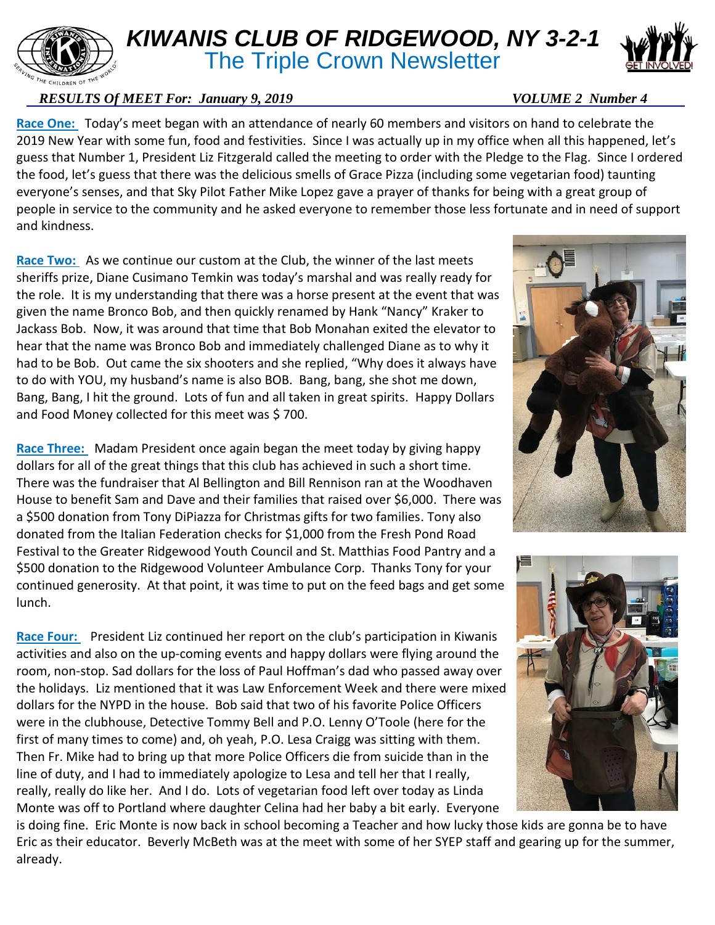

## *KIWANIS CLUB OF RIDGEWOOD, NY 3-2-1* **The Triple Crown Newsletter**



## *RESULTS Of MEET For: January 9, 2019* VOLUME 2 Number 4

**Race One:** Today's meet began with an attendance of nearly 60 members and visitors on hand to celebrate the 2019 New Year with some fun, food and festivities. Since I was actually up in my office when all this happened, let's guess that Number 1, President Liz Fitzgerald called the meeting to order with the Pledge to the Flag. Since I ordered the food, let's guess that there was the delicious smells of Grace Pizza (including some vegetarian food) taunting everyone's senses, and that Sky Pilot Father Mike Lopez gave a prayer of thanks for being with a great group of people in service to the community and he asked everyone to remember those less fortunate and in need of support and kindness.

**Race Two:** As we continue our custom at the Club, the winner of the last meets sheriffs prize, Diane Cusimano Temkin was today's marshal and was really ready for the role. It is my understanding that there was a horse present at the event that was given the name Bronco Bob, and then quickly renamed by Hank "Nancy" Kraker to Jackass Bob. Now, it was around that time that Bob Monahan exited the elevator to hear that the name was Bronco Bob and immediately challenged Diane as to why it had to be Bob. Out came the six shooters and she replied, "Why does it always have to do with YOU, my husband's name is also BOB. Bang, bang, she shot me down, Bang, Bang, I hit the ground. Lots of fun and all taken in great spirits. Happy Dollars and Food Money collected for this meet was \$ 700.

**Race Three:** Madam President once again began the meet today by giving happy dollars for all of the great things that this club has achieved in such a short time. There was the fundraiser that Al Bellington and Bill Rennison ran at the Woodhaven House to benefit Sam and Dave and their families that raised over \$6,000. There was a \$500 donation from Tony DiPiazza for Christmas gifts for two families. Tony also donated from the Italian Federation checks for \$1,000 from the Fresh Pond Road Festival to the Greater Ridgewood Youth Council and St. Matthias Food Pantry and a \$500 donation to the Ridgewood Volunteer Ambulance Corp. Thanks Tony for your continued generosity. At that point, it was time to put on the feed bags and get some lunch.

**Race Four:** President Liz continued her report on the club's participation in Kiwanis activities and also on the up-coming events and happy dollars were flying around the room, non-stop. Sad dollars for the loss of Paul Hoffman's dad who passed away over the holidays. Liz mentioned that it was Law Enforcement Week and there were mixed dollars for the NYPD in the house. Bob said that two of his favorite Police Officers were in the clubhouse, Detective Tommy Bell and P.O. Lenny O'Toole (here for the first of many times to come) and, oh yeah, P.O. Lesa Craigg was sitting with them. Then Fr. Mike had to bring up that more Police Officers die from suicide than in the line of duty, and I had to immediately apologize to Lesa and tell her that I really, really, really do like her. And I do. Lots of vegetarian food left over today as Linda Monte was off to Portland where daughter Celina had her baby a bit early. Everyone





is doing fine. Eric Monte is now back in school becoming a Teacher and how lucky those kids are gonna be to have Eric as their educator. Beverly McBeth was at the meet with some of her SYEP staff and gearing up for the summer, already.